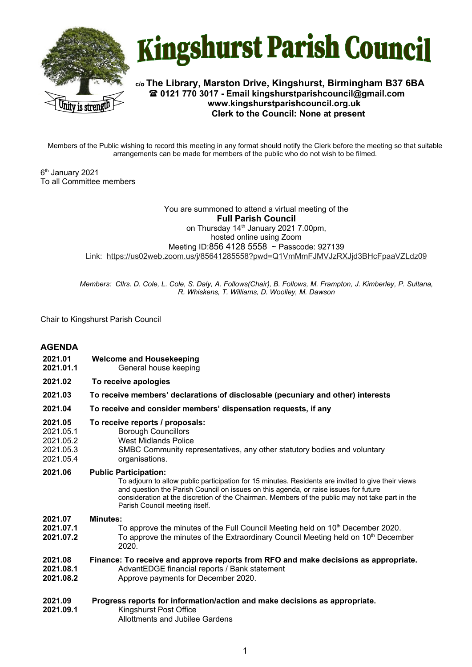



**c/o The Library, Marston Drive, Kingshurst, Birmingham B37 6BA 0121 770 3017 - Email kingshurstparishcouncil@gmail.com www.kingshurstparishcouncil.org.uk Clerk to the Council: None at present**

Members of the Public wishing to record this meeting in any format should notify the Clerk before the meeting so that suitable arrangements can be made for members of the public who do not wish to be filmed.

6 th January 2021 To all Committee members

### You are summoned to attend a virtual meeting of the **Full Parish Council**  on Thursday 14<sup>th</sup> January 2021 7.00pm, hosted online using Zoom Meeting ID:856 4128 5558 ~ Passcode: 927139 Link: https://us02web.zoom.us/j/85641285558?pwd=Q1VmMmFJMVJzRXJjd3BHcFpaaVZLdz09

*Members: Cllrs. D. Cole, L. Cole, S. Daly, A. Follows(Chair), B. Follows, M. Frampton, J. Kimberley, P. Sultana, R. Whiskens, T. Williams, D. Woolley, M. Dawson*

Chair to Kingshurst Parish Council

# **AGENDA**

- **2021.01 Welcome and Housekeeping**
- **2021.01.1** General house keeping
- **2021.02 To receive apologies**
- **2021.03 To receive members' declarations of disclosable (pecuniary and other) interests**
- **2021.04 To receive and consider members' dispensation requests, if any**
- **2021.05 To receive reports / proposals:**
- 2021.05.1 Borough Councillors
- 2021.05.2 West Midlands Police
- 2021.05.3 SMBC Community representatives, any other statutory bodies and voluntary
- 2021.05.4 organisations.
- **2021.06 Public Participation:**

To adjourn to allow public participation for 15 minutes. Residents are invited to give their views and question the Parish Council on issues on this agenda, or raise issues for future consideration at the discretion of the Chairman. Members of the public may not take part in the Parish Council meeting itself.

**2021.07 Minutes:**

- **2021.07.1** To approve the minutes of the Full Council Meeting held on 10<sup>th</sup> December 2020.
- **2021.07.2** To approve the minutes of the Extraordinary Council Meeting held on 10<sup>th</sup> December 2020.

#### **2021.08 Finance: To receive and approve reports from RFO and make decisions as appropriate.**

- **2021.08.1** AdvantEDGE financial reports / Bank statement
- **2021.08.2** Approve payments for December 2020.
- **2021.09 Progress reports for information/action and make decisions as appropriate.**
- **2021.09.1** Kingshurst Post Office Allottments and Jubilee Gardens